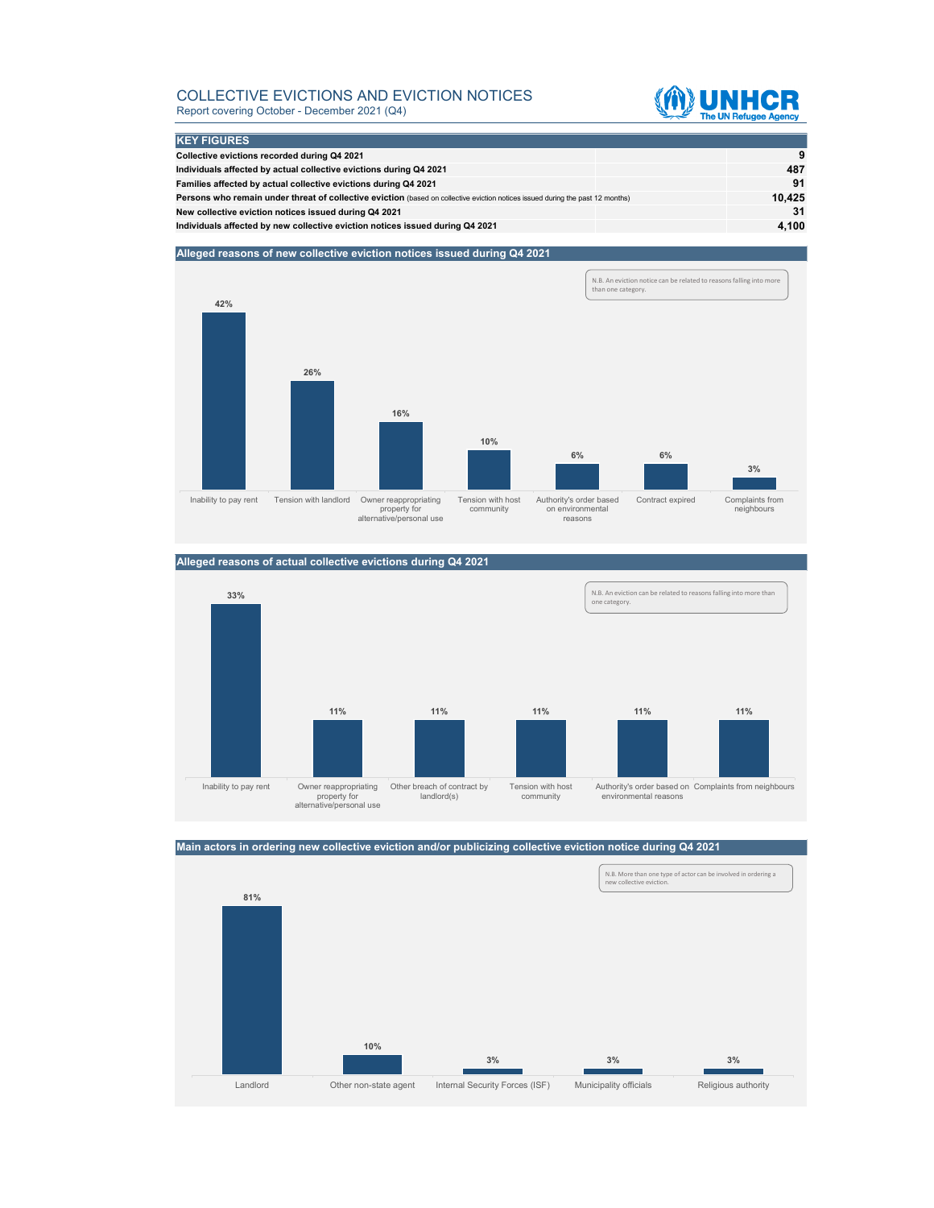### COLLECTIVE EVICTIONS AND EVICTION NOTICES Report covering October - December 2021 (Q4)



| <b>KEY FIGURES</b>                                                                                                                    |  |        |
|---------------------------------------------------------------------------------------------------------------------------------------|--|--------|
|                                                                                                                                       |  |        |
| Collective evictions recorded during Q4 2021                                                                                          |  | -9     |
| Individuals affected by actual collective evictions during Q4 2021                                                                    |  | 487    |
| Families affected by actual collective evictions during Q4 2021                                                                       |  | 91     |
| <b>Persons who remain under threat of collective eviction</b> (based on collective eviction notices issued during the past 12 months) |  | 10.425 |
| New collective eviction notices issued during Q4 2021                                                                                 |  | 31     |
| Individuals affected by new collective eviction notices issued during Q4 2021                                                         |  | 4,100  |

#### **Alleged reasons of new collective eviction notices issued during Q4 2021**



## **Alleged reasons of actual collective evictions during Q4 2021**



## **Main actors in ordering new collective eviction and/or publicizing collective eviction notice during Q4 2021**

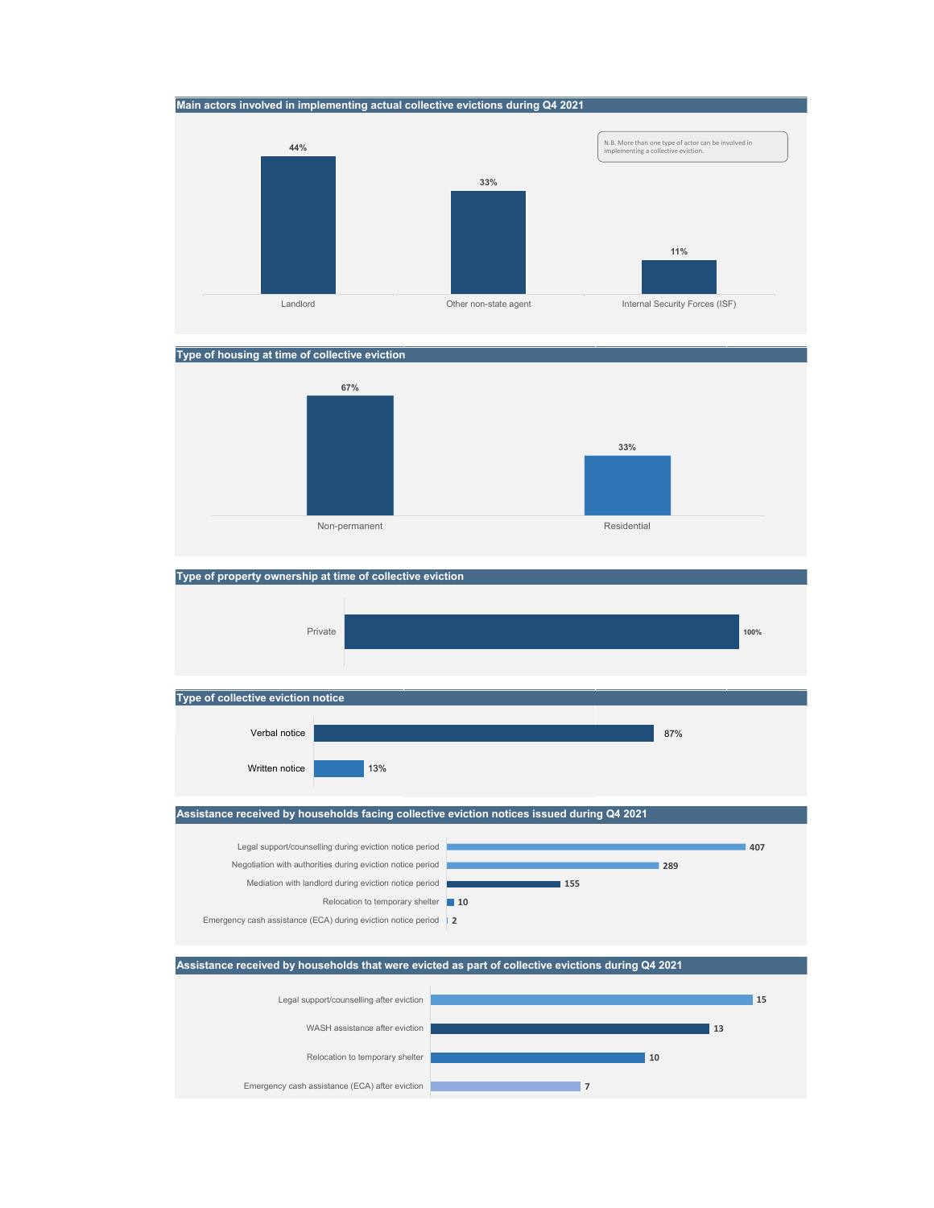







## **Type of property ownership at time of collective eviction**

Written notice



### **Assistance received by households facing collective eviction notices issued during Q4 2021**

13%





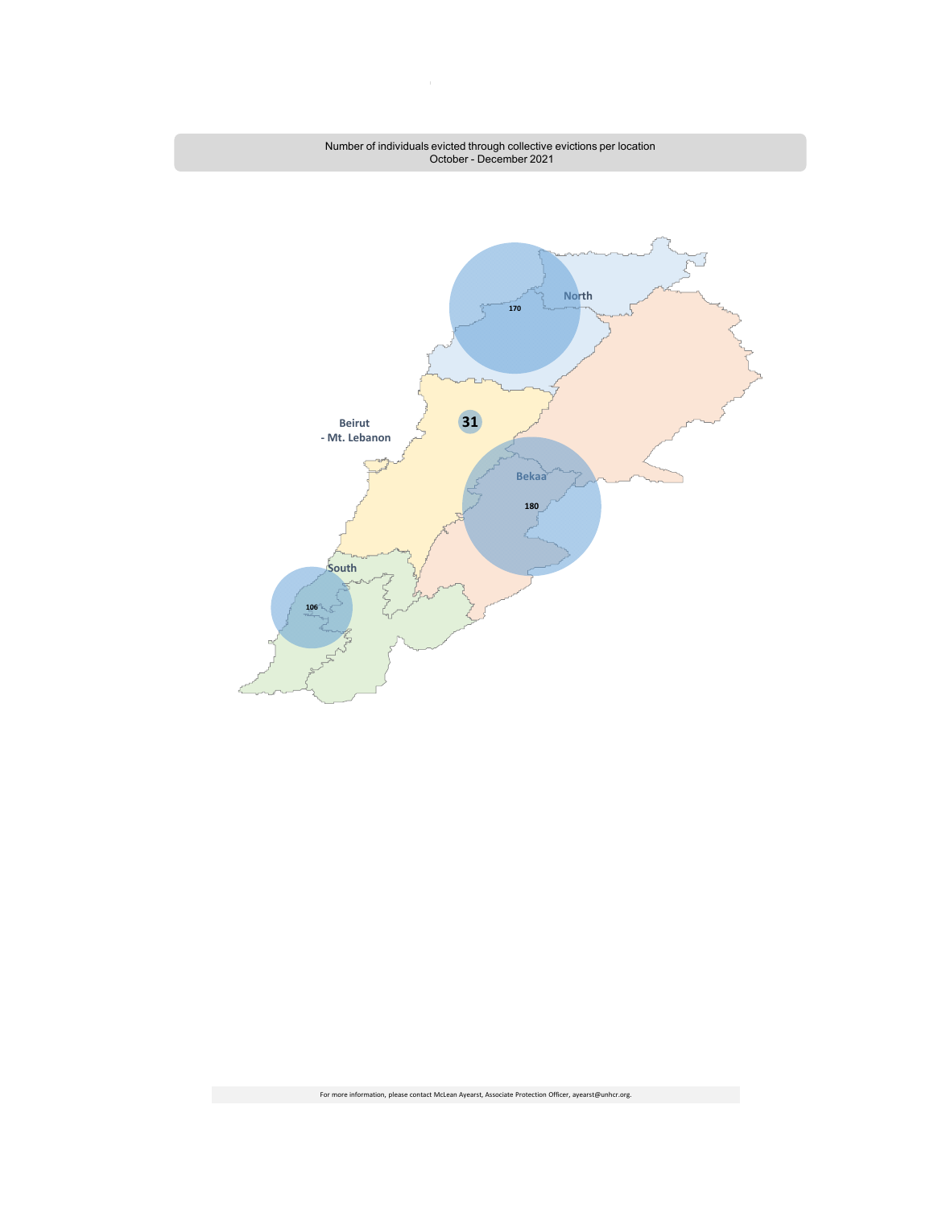

 $\bar{1}$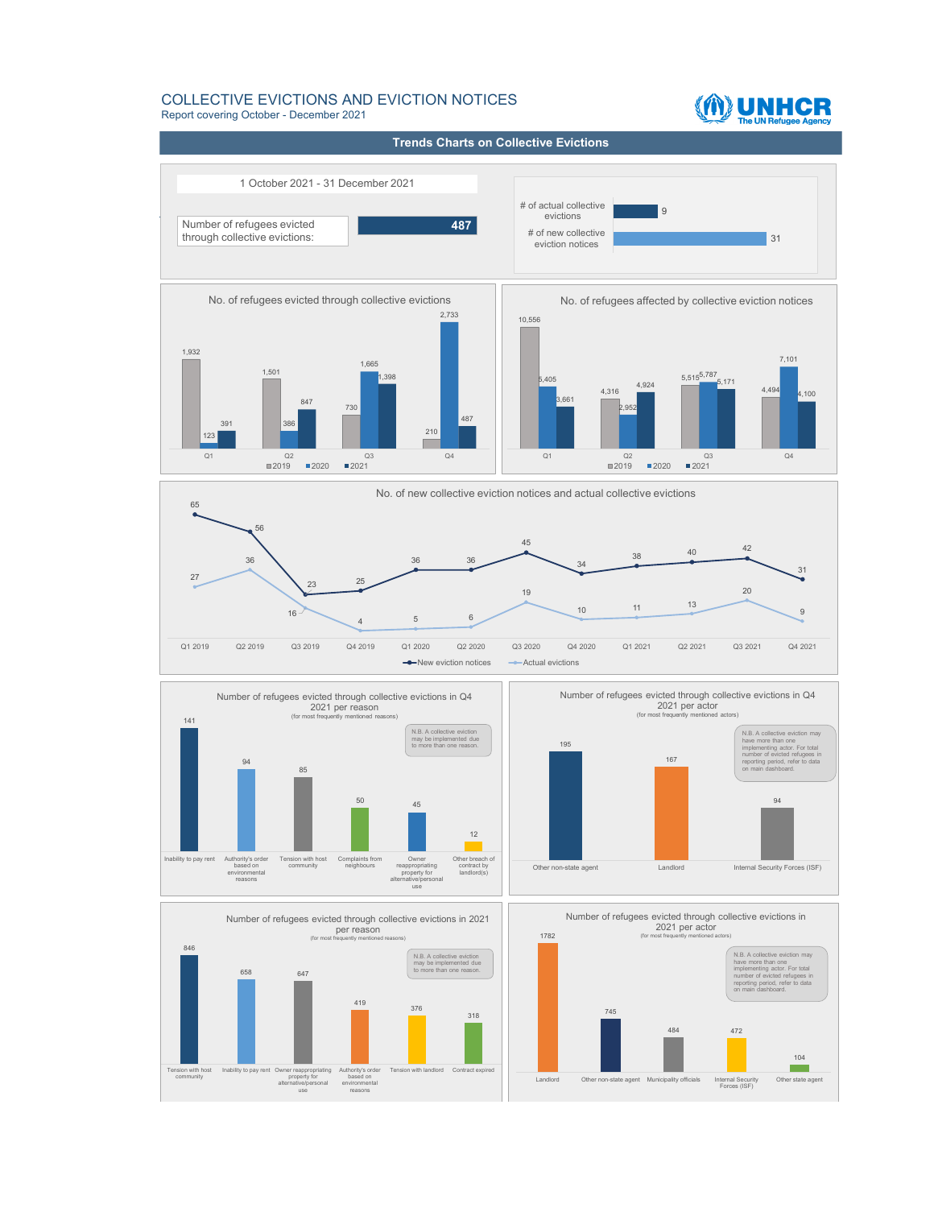#### COLLECTIVE EVICTIONS AND EVICTION NOTICES Report covering October - December 2021

# M UNHCR

**ata from 1 Jan m 1 Jan 2019 - 30 Sept 2019:** 1 October 2021 - 31 December 2021 **Trends Charts on Collective Evictions** 31 و ا # of new collective eviction notices # of actual collective Number of refugees evicted through collective evictions: **487** 1,932 1,501 730 <sup>210</sup> <sup>123</sup> 386 1,665 2,733 391 847 1,398 487 Q1 Q2 Q3 Q4 No. of refugees evicted through collective evictions  $12019$  2020 2021 65 56 23 25 36 36 45  $\begin{array}{@{}c@{\hspace{1em}}c@{\hspace{1em}}c@{\hspace{1em}}c@{\hspace{1em}}c@{\hspace{1em}}c@{\hspace{1em}}c@{\hspace{1em}}c@{\hspace{1em}}c@{\hspace{1em}}c@{\hspace{1em}}c@{\hspace{1em}}c@{\hspace{1em}}c@{\hspace{1em}}c@{\hspace{1em}}c@{\hspace{1em}}c@{\hspace{1em}}c@{\hspace{1em}}c@{\hspace{1em}}c@{\hspace{1em}}c@{\hspace{1em}}c@{\hspace{1em}}c@{\hspace{1em}}c@{\hspace{1em}}c@{\hspace{$  $\frac{31}{27}$ 36 16 <sup>4</sup> <sup>5</sup> <sup>6</sup> 19 <sup>10</sup> <sup>11</sup> <sup>13</sup> 20 9 Q1 2019 Q2 2019 Q3 2019 Q4 2019 Q1 2020 Q2 2020 Q3 2020 Q4 2020 Q1 2021 Q2 2021 Q3 2021 Q4 2021 No. of new collective eviction notices and actual collective evictions  $\rightarrow$ New eviction notices  $\rightarrow$ Actual evictions 10,556 4,316 4,924 5,515<sup>5,787</sup> 5,171 4,494 5,405 2,952 7,101  $36<sup>1</sup>$ 4,100 Q1 Q2 Q3 Q4 No. of refugees affected by collective eviction notices  $12019$   $12020$   $12021$